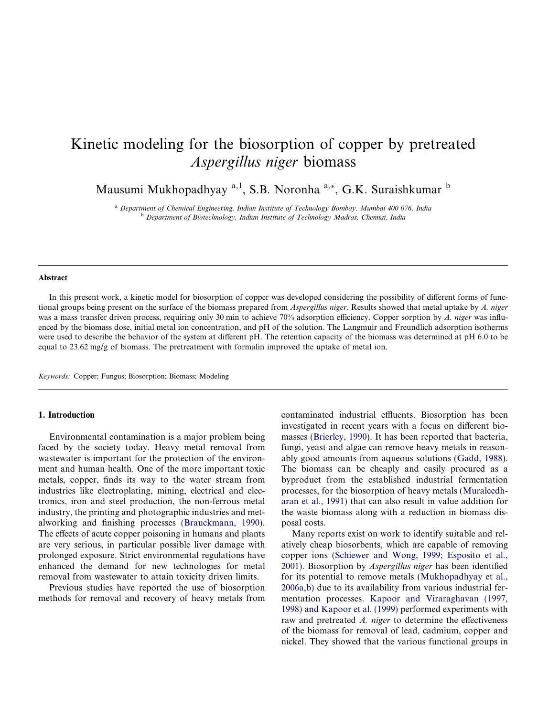# Kinetic modeling for the biosorption of copper by pretreated Aspergillus niger biomass

Mausumi Mukhopadhyay  $a,1$ , S.B. Noronha  $a, *$ , G.K. Suraishkumar  $b$ 

<sup>a</sup> Department of Chemical Engineering, Indian Institute of Technology Bombay, Mumbai 400 076, India b Department of Biotechnology, Indian Institute of Technology Madras, Chennai, India

### Abstract

In this present work, a kinetic model for biosorption of copper was developed considering the possibility of different forms of functional groups being present on the surface of the biomass prepared from *Aspergillus niger*. Results showed that metal uptake by A. niger was a mass transfer driven process, requiring only 30 min to achieve 70% adsorption efficiency. Copper sorption by A. niger was influenced by the biomass dose, initial metal ion concentration, and pH of the solution. The Langmuir and Freundlich adsorption isotherms were used to describe the behavior of the system at different pH. The retention capacity of the biomass was determined at pH 6.0 to be equal to 23.62 mg/g of biomass. The pretreatment with formalin improved the uptake of metal ion.

Keywords: Copper; Fungus; Biosorption; Biomass; Modeling

### 1. Introduction

Environmental contamination is a major problem being faced by the society today. Heavy metal removal from wastewater is important for the protection of the environment and human health. One of the more important toxic metals, copper, finds its way to the water stream from industries like electroplating, mining, electrical and electronics, iron and steel production, the non-ferrous metal industry, the printing and photographic industries and metalworking and finishing processes ([Brauckmann, 1990\)](#page-5-0). The effects of acute copper poisoning in humans and plants are very serious, in particular possible liver damage with prolonged exposure. Strict environmental regulations have enhanced the demand for new technologies for metal removal from wastewater to attain toxicity driven limits.

Previous studies have reported the use of biosorption methods for removal and recovery of heavy metals from contaminated industrial effluents. Biosorption has been investigated in recent years with a focus on different biomasses [\(Brierley, 1990](#page-5-0)). It has been reported that bacteria, fungi, yeast and algae can remove heavy metals in reasonably good amounts from aqueous solutions [\(Gadd, 1988\)](#page-5-0). The biomass can be cheaply and easily procured as a byproduct from the established industrial fermentation processes, for the biosorption of heavy metals ([Muraleedh](#page-5-0)[aran et al., 1991](#page-5-0)) that can also result in value addition for the waste biomass along with a reduction in biomass disposal costs.

Many reports exist on work to identify suitable and relatively cheap biosorbents, which are capable of removing copper ions [\(Schiewer and Wong, 1999; Esposito et al.,](#page-6-0) [2001](#page-6-0)). Biosorption by Aspergillus niger has been identified for its potential to remove metals ([Mukhopadhyay et al.,](#page-5-0) [2006a,b\)](#page-5-0) due to its availability from various industrial fermentation processes. [Kapoor and Viraraghavan \(1997,](#page-5-0) [1998\) and Kapoor et al. \(1999\)](#page-5-0) performed experiments with raw and pretreated A. niger to determine the effectiveness of the biomass for removal of lead, cadmium, copper and nickel. They showed that the various functional groups in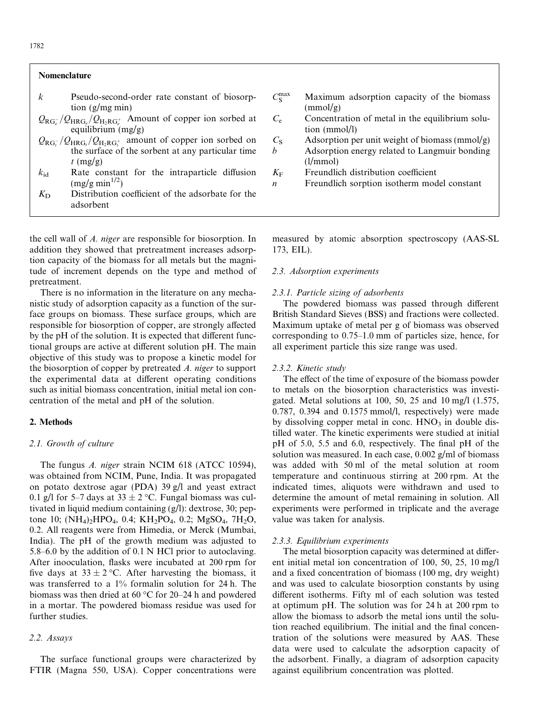| <b>Nomenclature</b>                                                                                 |                       |                                                                    |
|-----------------------------------------------------------------------------------------------------|-----------------------|--------------------------------------------------------------------|
| k<br>Pseudo-second-order rate constant of biosorp-<br>tion $(g/mg \text{ min})$                     | $C_{\rm S}^{\rm max}$ | Maximum adsorption capacity of the biomass<br>(mmol/g)             |
| $Q_{RG_{e}}/Q_{HRG_{e}}/Q_{H_{2}RG_{e}^{+}}$ Amount of copper ion sorbed at<br>equilibrium $(mg/g)$ | $C_{\rm e}$           | Concentration of metal in the equilibrium solu-<br>tion $(mmol/l)$ |
| $Q_{\text{RG}_{i}}/Q_{\text{HRG}_{i}}/Q_{\text{H}_{2}\text{RG}_{i}}$ amount of copper ion sorbed on | $C_{\rm S}$           | Adsorption per unit weight of biomass (mmol/g)                     |
| the surface of the sorbent at any particular time<br>$t \frac{mg}{g}$                               | $\mathfrak{h}$        | Adsorption energy related to Langmuir bonding<br>(l/mmol)          |
| Rate constant for the intraparticle diffusion<br>$k_{\rm id}$                                       | $K_{\rm F}$           | Freundlich distribution coefficient                                |
| $(mg/g min^{1/2})$                                                                                  | $\boldsymbol{n}$      | Freundlich sorption isotherm model constant                        |
| Distribution coefficient of the adsorbate for the<br>$K_{\rm D}$<br>adsorbent                       |                       |                                                                    |

the cell wall of A. niger are responsible for biosorption. In addition they showed that pretreatment increases adsorption capacity of the biomass for all metals but the magnitude of increment depends on the type and method of pretreatment.

There is no information in the literature on any mechanistic study of adsorption capacity as a function of the surface groups on biomass. These surface groups, which are responsible for biosorption of copper, are strongly affected by the pH of the solution. It is expected that different functional groups are active at different solution pH. The main objective of this study was to propose a kinetic model for the biosorption of copper by pretreated A. niger to support the experimental data at different operating conditions such as initial biomass concentration, initial metal ion concentration of the metal and pH of the solution.

## 2. Methods

#### 2.1. Growth of culture

The fungus A. niger strain NCIM 618 (ATCC 10594), was obtained from NCIM, Pune, India. It was propagated on potato dextrose agar (PDA) 39 g/l and yeast extract 0.1 g/l for 5–7 days at  $33 \pm 2$  °C. Fungal biomass was cultivated in liquid medium containing (g/l): dextrose, 30; peptone 10;  $(NH_4)_2HPO_4$ , 0.4;  $KH_2PO_4$ , 0.2;  $MgSO_4$ , 7H<sub>2</sub>O, 0.2. All reagents were from Himedia, or Merck (Mumbai, India). The pH of the growth medium was adjusted to 5.8–6.0 by the addition of 0.1 N HCl prior to autoclaving. After inooculation, flasks were incubated at 200 rpm for five days at  $33 \pm 2$  °C. After harvesting the biomass, it was transferred to a 1% formalin solution for 24 h. The biomass was then dried at 60  $\degree$ C for 20–24 h and powdered in a mortar. The powdered biomass residue was used for further studies.

## 2.2. Assays

The surface functional groups were characterized by FTIR (Magna 550, USA). Copper concentrations were measured by atomic absorption spectroscopy (AAS-SL 173, EIL).

#### 2.3. Adsorption experiments

#### 2.3.1. Particle sizing of adsorbents

The powdered biomass was passed through different British Standard Sieves (BSS) and fractions were collected. Maximum uptake of metal per g of biomass was observed corresponding to 0.75–1.0 mm of particles size, hence, for all experiment particle this size range was used.

#### 2.3.2. Kinetic study

The effect of the time of exposure of the biomass powder to metals on the biosorption characteristics was investigated. Metal solutions at 100, 50, 25 and 10 mg/l (1.575, 0.787, 0.394 and 0.1575 mmol/l, respectively) were made by dissolving copper metal in conc.  $HNO<sub>3</sub>$  in double distilled water. The kinetic experiments were studied at initial pH of 5.0, 5.5 and 6.0, respectively. The final pH of the solution was measured. In each case, 0.002 g/ml of biomass was added with 50 ml of the metal solution at room temperature and continuous stirring at 200 rpm. At the indicated times, aliquots were withdrawn and used to determine the amount of metal remaining in solution. All experiments were performed in triplicate and the average value was taken for analysis.

#### 2.3.3. Equilibrium experiments

The metal biosorption capacity was determined at different initial metal ion concentration of 100, 50, 25, 10 mg/l and a fixed concentration of biomass (100 mg, dry weight) and was used to calculate biosorption constants by using different isotherms. Fifty ml of each solution was tested at optimum pH. The solution was for 24 h at 200 rpm to allow the biomass to adsorb the metal ions until the solution reached equilibrium. The initial and the final concentration of the solutions were measured by AAS. These data were used to calculate the adsorption capacity of the adsorbent. Finally, a diagram of adsorption capacity against equilibrium concentration was plotted.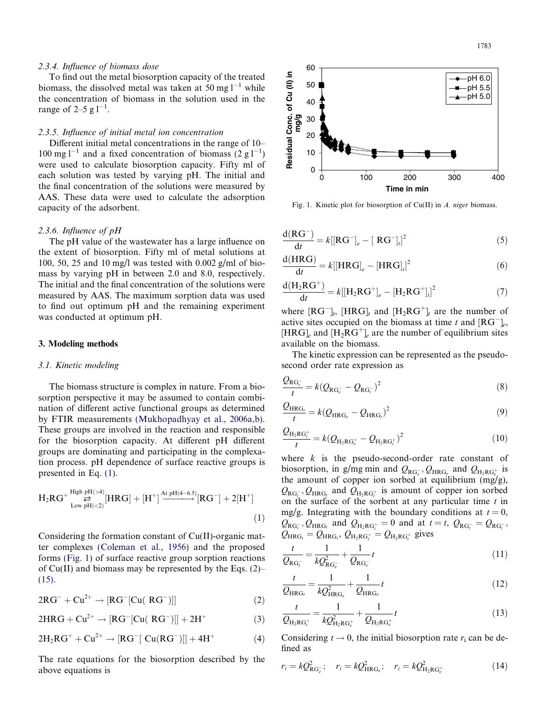#### <span id="page-2-0"></span>2.3.4. Influence of biomass dose

To find out the metal biosorption capacity of the treated biomass, the dissolved metal was taken at 50 mg  $1^{-1}$  while the concentration of biomass in the solution used in the range of 2–5 g  $l^{-1}$ .

## 2.3.5. Influence of initial metal ion concentration

Different initial metal concentrations in the range of 10– 100 mg l<sup>-1</sup> and a fixed concentration of biomass  $(2 g 1^{-1})$ were used to calculate biosorption capacity. Fifty ml of each solution was tested by varying pH. The initial and the final concentration of the solutions were measured by AAS. These data were used to calculate the adsorption capacity of the adsorbent.

#### 2.3.6. Influence of pH

The pH value of the wastewater has a large influence on the extent of biosorption. Fifty ml of metal solutions at 100, 50, 25 and 10 mg/l was tested with 0.002 g/ml of biomass by varying pH in between 2.0 and 8.0, respectively. The initial and the final concentration of the solutions were measured by AAS. The maximum sorption data was used to find out optimum pH and the remaining experiment was conducted at optimum pH.

### 3. Modeling methods

### 3.1. Kinetic modeling

The biomass structure is complex in nature. From a biosorption perspective it may be assumed to contain combination of different active functional groups as determined by FTIR measurements [\(Mukhopadhyay et al., 2006a,b\)](#page-5-0). These groups are involved in the reaction and responsible for the biosorption capacity. At different pH different groups are dominating and participating in the complexation process. pH dependence of surface reactive groups is presented in Eq. (1).

$$
H_2RG^+ \stackrel{\text{High pH}(>4)}{\underset{\text{Low pH}(<2)}{\rightleftharpoons}} [HRG] + [H^+] \stackrel{\text{At pH}(4-6.5)}{\longrightarrow} [RG^-] + 2[H^+] \tag{1}
$$

Considering the formation constant of Cu(II)-organic matter complexes ([Coleman et al., 1956](#page-5-0)) and the proposed forms (Fig. 1) of surface reactive group sorption reactions of  $Cu(II)$  and biomass may be represented by the Eqs. (2)– (15).

$$
2RG^- + Cu^{2+} \rightarrow [RG^-[Cu(RG^-)]]
$$
 (2)

 $2HRG + Cu^{2+} \rightarrow [RG^{-}[Cu(RG^{-})]] + 2H^{+}$  (3)

$$
2H_2RG^+ + Cu^{2+} \to [RG^- [ Cu(RG^-)]] + 4H^+ \tag{4}
$$

The rate equations for the biosorption described by the above equations is



Fig. 1. Kinetic plot for biosorption of Cu(II) in A. niger biomass.

$$
\frac{\mathrm{d}(\mathrm{R}\mathrm{G}^{-})}{\mathrm{d}t} = k[[\mathrm{R}\mathrm{G}^{-}]_{e} - [\mathrm{R}\mathrm{G}^{-}]_{I}]^{2}
$$
\n(5)

$$
\frac{\mathrm{d}(\mathrm{HRG})}{\mathrm{d}t} = k[[\mathrm{HRG}]_e - [\mathrm{HRG}]_t]^2 \tag{6}
$$

$$
\frac{d(H_2RG^+)}{dt} = k[[H_2RG^+]_e - [H_2RG^+]_i]^2
$$
\n(7)

where  $[RG^-]_t$ ,  $[HRG]_t$  and  $[H_2RG^+]_t$  are the number of active sites occupied on the biomass at time t and  $[RG^-]_e$ , [HRG]<sub>e</sub> and [H<sub>2</sub>RG<sup>+</sup>]<sub>e</sub> are the number of equilibrium sites available on the biomass.

The kinetic expression can be represented as the pseudosecond order rate expression as

$$
\frac{Q_{\text{RG}_t^-}}{t} = k(Q_{\text{RG}_e^-} - Q_{\text{RG}_t^-})^2
$$
\n(8)

$$
\frac{Q_{HRG_t}}{t} = k(Q_{HRG_e} - Q_{HRG_t})^2
$$
\n(9)

$$
\frac{Q_{\mathrm{H}_{2}\mathrm{R}\mathrm{G}_{t}^{+}}}{t} = k(Q_{\mathrm{H}_{2}\mathrm{R}\mathrm{G}_{e}^{+}} - Q_{\mathrm{H}_{2}\mathrm{R}\mathrm{G}_{t}^{+}})^{2}
$$
(10)

where  $k$  is the pseudo-second-order rate constant of biosorption, in g/mg min and  $Q_{\text{RG}_{e}}$ ,  $Q_{\text{HRG}_{e}}$  and  $Q_{\text{H}_{2}\text{RG}_{e}^{+}}$  is the amount of copper ion sorbed at equilibrium  $(mg/g)$ ,  $Q_{\text{RG}_t}$ ,  $Q_{\text{HRG}_t}$  and  $Q_{\text{H}_2\text{RG}_t^+}$  is amount of copper ion sorbed on the surface of the sorbent at any particular time  $t$  in mg/g. Integrating with the boundary conditions at  $t = 0$ ,  $Q_{RG_{t}^{-}}, Q_{HRG_{t}}$  and  $Q_{H_{2}RG_{t}^{+}} = 0$  and at  $t = t$ ,  $Q_{RG_{t}^{-}} = Q_{RG_{t}^{-}}$ ,  $Q_{HRG_t} = Q_{HRG_t}$ ,  $Q_{H_2RG_t^+} = Q_{H_2RG_t^+}$  gives

$$
\frac{t}{Q_{\rm RG}^-} = \frac{1}{kQ_{\rm RG}^2} + \frac{1}{Q_{\rm RG}^-}t
$$
\n(11)

$$
\frac{t}{Q_{\text{HRG}_t}} = \frac{1}{kQ_{\text{HRG}_e}^2} + \frac{1}{Q_{\text{HRG}_e}}t
$$
\n(12)

$$
\frac{t}{Q_{\text{H}_2\text{RG}_t^+}} = \frac{1}{kQ_{\text{H}_2\text{RG}_e^+}^1} + \frac{1}{Q_{\text{H}_2\text{RG}_e^+}}t
$$
(13)

Considering  $t \to 0$ , the initial biosorption rate  $r_i$  can be defined as

$$
r_i = kQ_{\rm RG_c}^2; \quad r_i = kQ_{\rm HRG_c}^2; \quad r_i = kQ_{\rm H_2RG_c^+}^2 \tag{14}
$$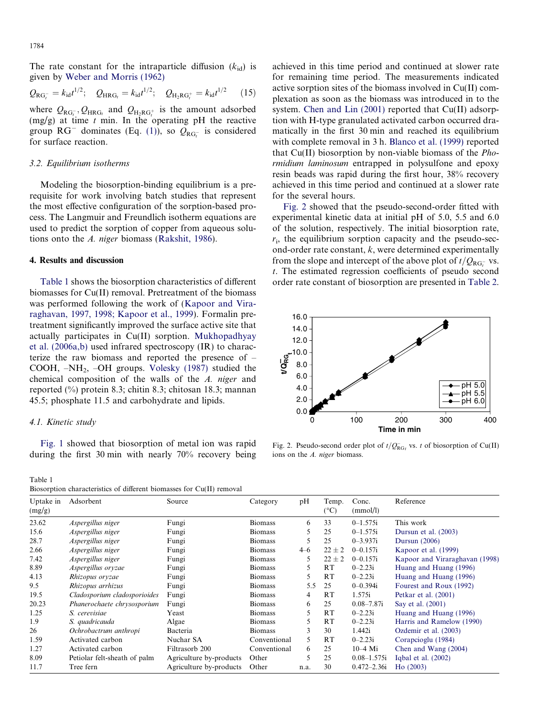The rate constant for the intraparticle diffusion  $(k_{id})$  is given by [Weber and Morris \(1962\)](#page-6-0)

$$
Q_{\text{RG}_i^-} = k_{\text{id}} t^{1/2}; \quad Q_{\text{HRG}_i} = k_{\text{id}} t^{1/2}; \quad Q_{\text{H}_2 \text{RG}_i^+} = k_{\text{id}} t^{1/2} \quad (15)
$$

where  $Q_{RG_i^-}, Q_{HRG_i}$  and  $Q_{H_2RG_i^+}$  is the amount adsorbed  $(mg/g)$  at time t min. In the operating pH the reactive group  $RG^-$  dominates (Eq. [\(1\)\)](#page-2-0), so  $Q_{RG^-_i}$  is considered for surface reaction.

# 3.2. Equilibrium isotherms

Modeling the biosorption-binding equilibrium is a prerequisite for work involving batch studies that represent the most effective configuration of the sorption-based process. The Langmuir and Freundlich isotherm equations are used to predict the sorption of copper from aqueous solutions onto the A. niger biomass [\(Rakshit, 1986\)](#page-5-0).

# 4. Results and discussion

Table 1 shows the biosorption characteristics of different biomasses for Cu(II) removal. Pretreatment of the biomass was performed following the work of [\(Kapoor and Vira](#page-5-0)[raghavan, 1997, 1998; Kapoor et al., 1999](#page-5-0)). Formalin pretreatment significantly improved the surface active site that actually participates in Cu(II) sorption. [Mukhopadhyay](#page-5-0) [et al. \(2006a,b\)](#page-5-0) used infrared spectroscopy (IR) to characterize the raw biomass and reported the presence of – COOH, –NH2, –OH groups. [Volesky \(1987\)](#page-6-0) studied the chemical composition of the walls of the A. niger and reported (%) protein 8.3; chitin 8.3; chitosan 18.3; mannan 45.5; phosphate 11.5 and carbohydrate and lipids.

# 4.1. Kinetic study

Table 1

[Fig. 1](#page-2-0) showed that biosorption of metal ion was rapid during the first 30 min with nearly 70% recovery being

achieved in this time period and continued at slower rate for remaining time period. The measurements indicated active sorption sites of the biomass involved in Cu(II) complexation as soon as the biomass was introduced in to the system. [Chen and Lin \(2001\)](#page-5-0) reported that Cu(II) adsorption with H-type granulated activated carbon occurred dramatically in the first 30 min and reached its equilibrium with complete removal in 3 h. [Blanco et al. \(1999\)](#page-5-0) reported that Cu(II) biosorption by non-viable biomass of the  $Pho$ rmidium laminosum entrapped in polysulfone and epoxy resin beads was rapid during the first hour, 38% recovery achieved in this time period and continued at a slower rate for the several hours.

Fig. 2 showed that the pseudo-second-order fitted with experimental kinetic data at initial pH of 5.0, 5.5 and 6.0 of the solution, respectively. The initial biosorption rate,  $r_i$ , the equilibrium sorption capacity and the pseudo-second-order rate constant, k, were determined experimentally from the slope and intercept of the above plot of  $t/Q_{RG<sub>r</sub>}$  vs. t. The estimated regression coefficients of pseudo second order rate constant of biosorption are presented in [Table 2](#page-4-0).



Fig. 2. Pseudo-second order plot of  $t/Q_{\text{RG}_t}^-$  vs. t of biosorption of Cu(II) ions on the A. niger biomass.

| Biosorption characteristics of different biomasses for Cu(II) removal |                              |                         |                |         |                        |                   |                                |
|-----------------------------------------------------------------------|------------------------------|-------------------------|----------------|---------|------------------------|-------------------|--------------------------------|
| Uptake in<br>(mg/g)                                                   | Adsorbent                    | Source                  | Category       | pH      | Temp.<br>$(^{\circ}C)$ | Conc.<br>(mmol/l) | Reference                      |
| 23.62                                                                 | Aspergillus niger            | Fungi                   | <b>Biomass</b> | 6       | 33                     | $0 - 1.575i$      | This work                      |
| 15.6                                                                  | Aspergillus niger            | Fungi                   | <b>Biomass</b> | 5       | 25                     | $0 - 1.575i$      | Dursun et al. $(2003)$         |
| 28.7                                                                  | Aspergillus niger            | Fungi                   | <b>Biomass</b> | 5       | 25                     | $0 - 3.937i$      | Dursun $(2006)$                |
| 2.66                                                                  | Aspergillus niger            | Fungi                   | <b>Biomass</b> | $4 - 6$ | $22 \pm 2$             | $0 - 0.157i$      | Kapoor et al. (1999)           |
| 7.42                                                                  | Aspergillus niger            | Fungi                   | <b>Biomass</b> | 5       | $22 \pm 2$             | $0 - 0.157i$      | Kapoor and Viraraghavan (1998) |
| 8.89                                                                  | Aspergillus oryzae           | Fungi                   | <b>Biomass</b> | 5       | RT                     | $0 - 2.23i$       | Huang and Huang (1996)         |
| 4.13                                                                  | Rhizopus oryzae              | Fungi                   | <b>Biomass</b> | 5       | RT                     | $0 - 2.23i$       | Huang and Huang (1996)         |
| 9.5                                                                   | Rhizopus arrhizus            | Fungi                   | <b>Biomass</b> | 5.5     | 25                     | $0 - 0.394i$      | Fourest and Roux (1992)        |
| 19.5                                                                  | Cladosporium cladosporioides | Fungi                   | <b>Biomass</b> | 4       | RT                     | 1.575i            | Petkar et al. $(2001)$         |
| 20.23                                                                 | Phanerochaete chrysosporium  | Fungi                   | <b>Biomass</b> | 6       | 25                     | $0.08 - 7.87i$    | Say et al. (2001)              |
| 1.25                                                                  | S. cerevisiae                | Yeast                   | <b>Biomass</b> | 5       | RT                     | $0 - 2.23i$       | Huang and Huang (1996)         |
| 1.9                                                                   | S. quadricauda               | Algae                   | <b>Biomass</b> | 5       | RT                     | $0 - 2.23i$       | Harris and Ramelow (1990)      |
| 26                                                                    | Ochrobactrum anthropi        | Bacteria                | <b>Biomass</b> | 3       | 30                     | 1.442i            | Ozdemir et al. (2003)          |
| 1.59                                                                  | Activated carbon             | Nuchar SA               | Conventional   | 5       | RT                     | $0 - 2.23i$       | Corapcioglu (1984)             |
| 1.27                                                                  | Activated carbon             | Filtrasorb 200          | Conventional   | 6       | 25                     | $10-4$ Mi         | Chen and Wang $(2004)$         |
| 8.09                                                                  | Petiolar felt-sheath of palm | Agriculture by-products | Other          | 5       | 25                     | $0.08 - 1.575i$   | Igbal et al. $(2002)$          |
| 11.7                                                                  | Tree fern                    | Agriculture by-products | Other          | n.a.    | 30                     | $0.472 - 2.36i$   | Ho(2003)                       |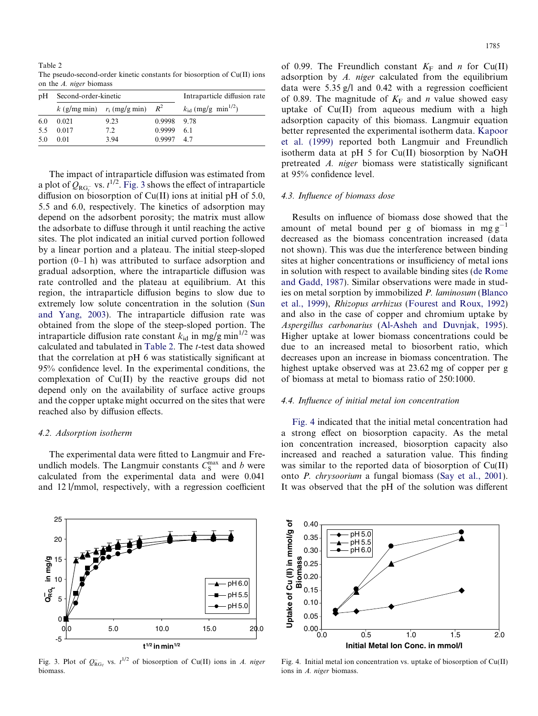<span id="page-4-0"></span>Table 2 The pseudo-second-order kinetic constants for biosorption of Cu(II) ions on the A. niger biomass

| pΗ  | Second-order-kinetic |                                     | Intraparticle diffusion rate |                                         |  |
|-----|----------------------|-------------------------------------|------------------------------|-----------------------------------------|--|
|     |                      | k (g/mg min) $r_i$ (mg/g min) $R^2$ |                              | $k_{\rm id}$ (mg/g min <sup>1/2</sup> ) |  |
| 6.0 | 0.021                | 9.23                                | 0.9998 9.78                  |                                         |  |
| 5.5 | 0.017                | 7.2                                 | 0.9999                       | -61                                     |  |
| 50  | 0.01                 | 394                                 | $0.9997$ 4.7                 |                                         |  |

The impact of intraparticle diffusion was estimated from a plot of  $Q_{\text{RG}_{t}^-}$  vs.  $t^{1/2}$ . Fig. 3 shows the effect of intraparticle diffusion on biosorption of Cu(II) ions at initial pH of 5.0, 5.5 and 6.0, respectively. The kinetics of adsorption may depend on the adsorbent porosity; the matrix must allow the adsorbate to diffuse through it until reaching the active sites. The plot indicated an initial curved portion followed by a linear portion and a plateau. The initial steep-sloped portion (0–1 h) was attributed to surface adsorption and gradual adsorption, where the intraparticle diffusion was rate controlled and the plateau at equilibrium. At this region, the intraparticle diffusion begins to slow due to extremely low solute concentration in the solution [\(Sun](#page-6-0) [and Yang, 2003](#page-6-0)). The intraparticle diffusion rate was obtained from the slope of the steep-sloped portion. The intraparticle diffusion rate constant  $k_{id}$  in mg/g min<sup>1/2</sup> was calculated and tabulated in Table 2. The t-test data showed that the correlation at pH 6 was statistically significant at 95% confidence level. In the experimental conditions, the complexation of Cu(II) by the reactive groups did not depend only on the availability of surface active groups and the copper uptake might occurred on the sites that were reached also by diffusion effects.

#### 4.2. Adsorption isotherm

The experimental data were fitted to Langmuir and Freundlich models. The Langmuir constants  $C_S^{\text{max}}$  and b were calculated from the experimental data and were 0.041 and 12 l/mmol, respectively, with a regression coefficient



Fig. 3. Plot of  $Q_{RG_t}^-$  vs.  $t^{1/2}$  of biosorption of Cu(II) ions in A. niger biomass.

of 0.99. The Freundlich constant  $K_F$  and n for Cu(II) adsorption by A. niger calculated from the equilibrium data were  $5.35 \text{ g/l}$  and 0.42 with a regression coefficient of 0.89. The magnitude of  $K_F$  and n value showed easy uptake of Cu(II) from aqueous medium with a high adsorption capacity of this biomass. Langmuir equation better represented the experimental isotherm data. [Kapoor](#page-5-0) [et al. \(1999\)](#page-5-0) reported both Langmuir and Freundlich isotherm data at pH 5 for Cu(II) biosorption by NaOH pretreated A. niger biomass were statistically significant at 95% confidence level.

#### 4.3. Influence of biomass dose

Results on influence of biomass dose showed that the amount of metal bound per g of biomass in mg  $g^{-1}$ decreased as the biomass concentration increased (data not shown). This was due the interference between binding sites at higher concentrations or insufficiency of metal ions in solution with respect to available binding sites [\(de Rome](#page-5-0) [and Gadd, 1987\)](#page-5-0). Similar observations were made in studies on metal sorption by immobilized P. laminosum ([Blanco](#page-5-0) [et al., 1999\)](#page-5-0), Rhizopus arrhizus [\(Fourest and Roux, 1992](#page-5-0)) and also in the case of copper and chromium uptake by Aspergillus carbonarius ([Al-Asheh and Duvnjak, 1995\)](#page-5-0). Higher uptake at lower biomass concentrations could be due to an increased metal to biosorbent ratio, which decreases upon an increase in biomass concentration. The highest uptake observed was at 23.62 mg of copper per g of biomass at metal to biomass ratio of 250:1000.

## 4.4. Influence of initial metal ion concentration

Fig. 4 indicated that the initial metal concentration had a strong effect on biosorption capacity. As the metal ion concentration increased, biosorption capacity also increased and reached a saturation value. This finding was similar to the reported data of biosorption of Cu(II) onto P. chrysoorium a fungal biomass ([Say et al., 2001\)](#page-5-0). It was observed that the pH of the solution was different



Fig. 4. Initial metal ion concentration vs. uptake of biosorption of Cu(II) ions in A. niger biomass.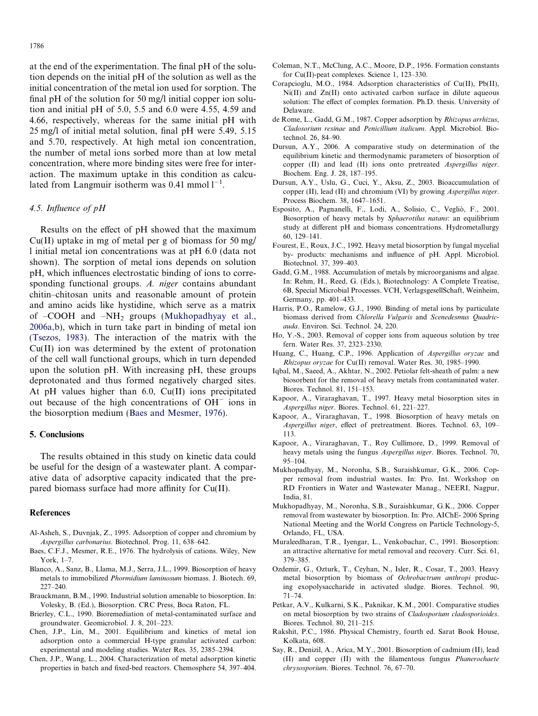<span id="page-5-0"></span>at the end of the experimentation. The final pH of the solution depends on the initial pH of the solution as well as the initial concentration of the metal ion used for sorption. The final pH of the solution for 50 mg/l initial copper ion solution and initial pH of 5.0, 5.5 and 6.0 were 4.55, 4.59 and 4.66, respectively, whereas for the same initial pH with 25 mg/l of initial metal solution, final pH were 5.49, 5.15 and 5.70, respectively. At high metal ion concentration, the number of metal ions sorbed more than at low metal concentration, where more binding sites were free for interaction. The maximum uptake in this condition as calculated from Langmuir isotherm was  $0.41$  mmol  $1^{-1}$ .

#### 4.5. Influence of pH

Results on the effect of pH showed that the maximum Cu(II) uptake in mg of metal per g of biomass for 50 mg/ l initial metal ion concentrations was at pH 6.0 (data not shown). The sorption of metal ions depends on solution pH, which influences electrostatic binding of ions to corresponding functional groups. A. niger contains abundant chitin–chitosan units and reasonable amount of protein and amino acids like hystidine, which serve as a matrix of  $-COOH$  and  $-NH<sub>2</sub>$  groups (Mukhopadhyay et al., 2006a,b), which in turn take part in binding of metal ion [\(Tsezos, 1983](#page-6-0)). The interaction of the matrix with the Cu(II) ion was determined by the extent of protonation of the cell wall functional groups, which in turn depended upon the solution pH. With increasing pH, these groups deprotonated and thus formed negatively charged sites. At pH values higher than 6.0, Cu(II) ions precipitated out because of the high concentrations of OH<sup>-</sup> ions in the biosorption medium (Baes and Mesmer, 1976).

### 5. Conclusions

The results obtained in this study on kinetic data could be useful for the design of a wastewater plant. A comparative data of adsorptive capacity indicated that the prepared biomass surface had more affinity for Cu(II).

#### References

- Al-Asheh, S., Duvnjak, Z., 1995. Adsorption of copper and chromium by Aspergillus carbonarius. Biotechnol. Prog. 11, 638–642.
- Baes, C.F.J., Mesmer, R.E., 1976. The hydrolysis of cations. Wiley, New York, 1–7.
- Blanco, A., Sanz, B., Llama, M.J., Serra, J.L., 1999. Biosorption of heavy metals to immobilized Phormidium laminosum biomass. J. Biotech. 69, 227–240.
- Brauckmann, B.M., 1990. Industrial solution amenable to biosorption. In: Volesky, B. (Ed.), Biosorption. CRC Press, Boca Raton, FL.
- Brierley, C.L., 1990. Bioremediation of metal-contaminated surface and groundwater. Geomicrobiol. J. 8, 201–223.
- Chen, J.P., Lin, M., 2001. Equilibrium and kinetics of metal ion adsorption onto a commercial H-type granular activated carbon: experimental and modeling studies. Water Res. 35, 2385–2394.
- Chen, J.P., Wang, L., 2004. Characterization of metal adsorption kinetic properties in batch and fixed-bed reactors. Chemosphere 54, 397–404.
- Coleman, N.T., McClung, A.C., Moore, D.P., 1956. Formation constants for Cu(II)-peat complexes. Science 1, 123–330.
- Corapcioglu, M.O., 1984. Adsorption characteristics of Cu(II), Pb(II), Ni(II) and Zn(II) onto activated carbon surface in dilute aqueous solution: The effect of complex formation. Ph.D. thesis. University of Delaware.
- de Rome, L., Gadd, G.M., 1987. Copper adsorption by Rhizopus arrhizus, Cladosorium resinae and Penicillium italicum. Appl. Microbiol. Biotechnol. 26, 84–90.
- Dursun, A.Y., 2006. A comparative study on determination of the equilibrium kinetic and thermodynamic parameters of biosorption of copper (II) and lead (II) ions onto pretreated Aspergillus niger. Biochem. Eng. J. 28, 187–195.
- Dursun, A.Y., Uslu, G., Cuci, Y., Aksu, Z., 2003. Bioaccumulation of copper (II), lead (II) and chromium (VI) by growing Aspergillus niger. Process Biochem. 38, 1647–1651.
- Esposito, A., Pagnanelli, F., Lodi, A., Solisio, C., Vegliò, F., 2001. Biosorption of heavy metals by Sphaerotilus natans: an equilibrium study at different pH and biomass concentrations. Hydrometallurgy 60, 129–141.
- Fourest, E., Roux, J.C., 1992. Heavy metal biosorption by fungal mycelial by- products: mechanisms and influence of pH. Appl. Microbiol. Biotechnol. 37, 399–403.
- Gadd, G.M., 1988. Accumulation of metals by microorganisms and algae. In: Rehm, H., Reed, G. (Eds.), Biotechnology: A Complete Treatise, 6B, Special Microbial Processes. VCH, VerlagsgesellSchaft, Weinheim, Germany, pp. 401–433.
- Harris, P.O., Ramelow, G.J., 1990. Binding of metal ions by particulate biomass derived from Chlorella Vulgaris and Scenedesmus Ouadricauda. Environ. Sci. Technol. 24, 220.
- Ho, Y.-S., 2003. Removal of copper ions from aqueous solution by tree fern. Water Res. 37, 2323–2330.
- Huang, C., Huang, C.P., 1996. Application of *Aspergillus oryzae* and Rhizopus oryzae for Cu(II) removal. Water Res. 30, 1985–1990.
- Iqbal, M., Saeed, A., Akhtar, N., 2002. Petiolar felt-sheath of palm: a new biosorbent for the removal of heavy metals from contaminated water. Biores. Technol. 81, 151–153.
- Kapoor, A., Viraraghavan, T., 1997. Heavy metal biosorption sites in Aspergillus niger. Biores. Technol. 61, 221–227.
- Kapoor, A., Viraraghavan, T., 1998. Biosorption of heavy metals on Aspergillus niger, effect of pretreatment. Biores. Technol. 63, 109– 113.
- Kapoor, A., Viraraghavan, T., Roy Cullimore, D., 1999. Removal of heavy metals using the fungus Aspergillus niger. Biores. Technol. 70, 95–104.
- Mukhopadhyay, M., Noronha, S.B., Suraishkumar, G.K., 2006. Copper removal from industrial wastes. In: Pro. Int. Workshop on RD Frontiers in Water and Wastewater Manag., NEERI, Nagpur, India, 81.
- Mukhopadhyay, M., Noronha, S.B., Suraishkumar, G.K., 2006. Copper removal from wastewater by biosorption. In: Pro. AIChE- 2006 Spring National Meeting and the World Congress on Particle Technology-5, Orlando, FL, USA.
- Muraleedharan, T.R., Iyengar, L., Venkobachar, C., 1991. Biosorption: an attractive alternative for metal removal and recovery. Curr. Sci. 61, 379–385.
- Ozdemir, G., Ozturk, T., Ceyhan, N., Isler, R., Cosar, T., 2003. Heavy metal biosorption by biomass of Ochrobactrum anthropi producing exopolysaccharide in activated sludge. Biores. Technol. 90, 71–74.
- Petkar, A.V., Kulkarni, S.K., Paknikar, K.M., 2001. Comparative studies on metal biosorption by two strains of Cladosporium cladosporioides. Biores. Technol. 80, 211–215.
- Rakshit, P.C., 1986. Physical Chemistry, fourth ed. Sarat Book House, Kolkata, 608.
- Say, R., Denizil, A., Arica, M.Y., 2001. Biosorption of cadmium (II), lead (II) and copper (II) with the filamentous fungus Phanerochaete chrysosporium. Biores. Technol. 76, 67–70.